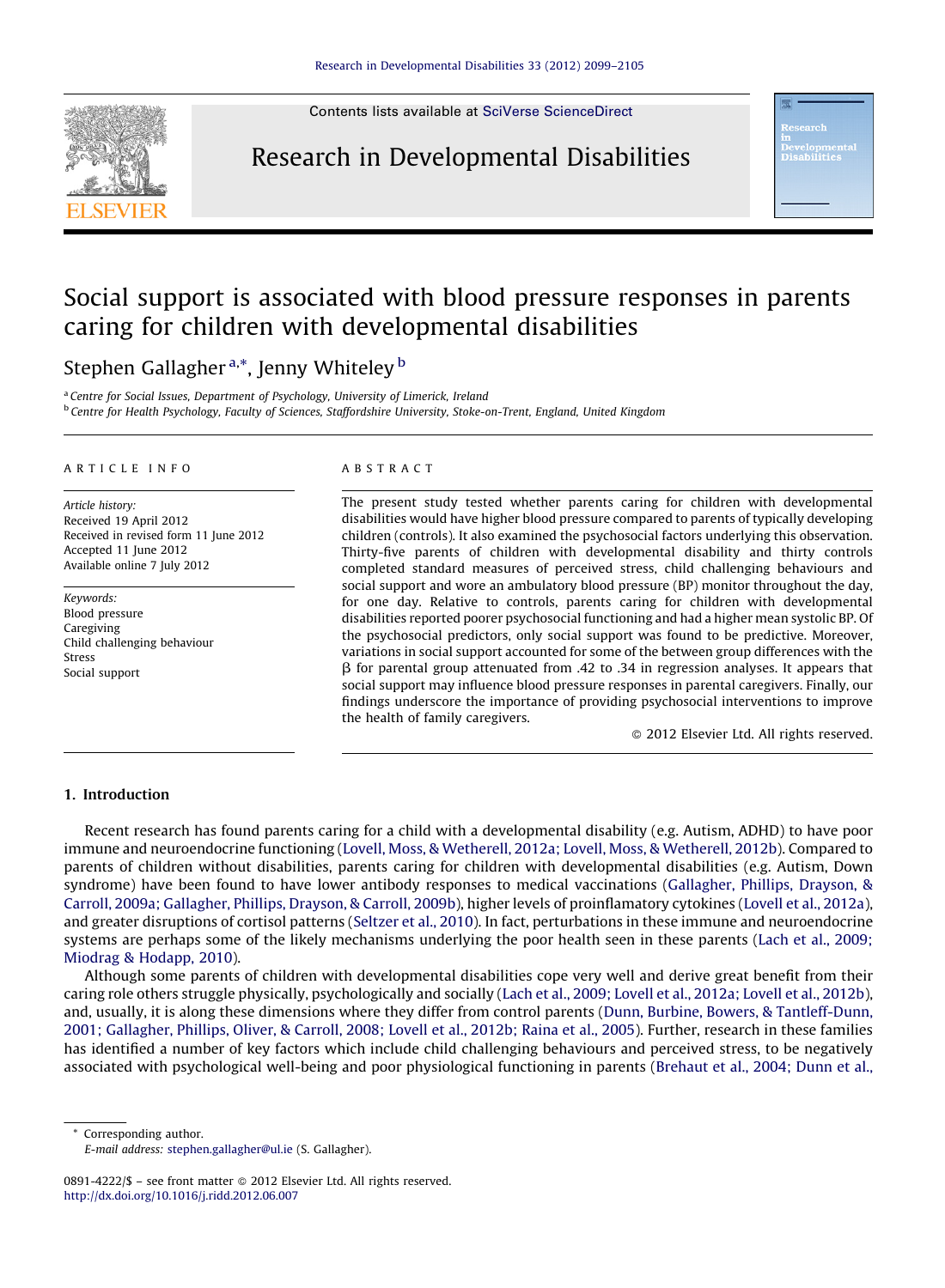

Contents lists available at SciVerse [ScienceDirect](http://www.sciencedirect.com/science/journal/08914222)

## Research in Developmental Disabilities

## Social support is associated with blood pressure responses in parents caring for children with developmental disabilities

Stephen Gallagher <sup>a,</sup>\*, Jenny Whiteley <sup>b</sup>

<sup>a</sup> Centre for Social Issues, Department of Psychology, University of Limerick, Ireland <sup>b</sup> Centre for Health Psychology, Faculty of Sciences, Staffordshire University, Stoke-on-Trent, England, United Kingdom

#### A R T I C L E I N F O

Article history: Received 19 April 2012 Received in revised form 11 June 2012 Accepted 11 June 2012 Available online 7 July 2012

Keywords: Blood pressure Caregiving Child challenging behaviour Stress Social support

#### A B S T R A C T

The present study tested whether parents caring for children with developmental disabilities would have higher blood pressure compared to parents of typically developing children (controls). It also examined the psychosocial factors underlying this observation. Thirty-five parents of children with developmental disability and thirty controls completed standard measures of perceived stress, child challenging behaviours and social support and wore an ambulatory blood pressure (BP) monitor throughout the day, for one day. Relative to controls, parents caring for children with developmental disabilities reported poorer psychosocial functioning and had a higher mean systolic BP. Of the psychosocial predictors, only social support was found to be predictive. Moreover, variations in social support accounted for some of the between group differences with the  $\beta$  for parental group attenuated from .42 to .34 in regression analyses. It appears that social support may influence blood pressure responses in parental caregivers. Finally, our findings underscore the importance of providing psychosocial interventions to improve the health of family caregivers.

- 2012 Elsevier Ltd. All rights reserved.

#### 1. Introduction

Recent research has found parents caring for a child with a developmental disability (e.g. Autism, ADHD) to have poor immune and neuroendocrine functioning (Lovell, Moss, & Wetherell, 2012a; Lovell, Moss, & [Wetherell,](#page--1-0) 2012b). Compared to parents of children without disabilities, parents caring for children with developmental disabilities (e.g. Autism, Down syndrome) have been found to have lower antibody responses to medical vaccinations [\(Gallagher,](#page--1-0) Phillips, Drayson, & Carroll, 2009a; [Gallagher,](#page--1-0) Phillips, Drayson, & Carroll, 2009b), higher levels of proinflamatory cytokines (Lovell et al., [2012a](#page--1-0)), and greater disruptions of cortisol patterns ([Seltzer](#page--1-0) et al., 2010). In fact, perturbations in these immune and neuroendocrine systems are perhaps some of the likely mechanisms underlying the poor health seen in these parents (Lach et al., [2009;](#page--1-0) [Miodrag](#page--1-0) & Hodapp, 2010).

Although some parents of children with developmental disabilities cope very well and derive great benefit from their caring role others struggle physically, psychologically and socially (Lach et al., 2009; Lovell et al., [2012a;](#page--1-0) Lovell et al., 2012b), and, usually, it is along these dimensions where they differ from control parents (Dunn, Burbine, Bowers, & [Tantleff-Dunn,](#page--1-0) 2001; [Gallagher,](#page--1-0) Phillips, Oliver, & Carroll, 2008; Lovell et al., 2012b; Raina et al., 2005). Further, research in these families has identified a number of key factors which include child challenging behaviours and perceived stress, to be negatively associated with psychological well-being and poor physiological functioning in parents [\(Brehaut](#page--1-0) et al., 2004; Dunn et al.,

Corresponding author.

E-mail address: [stephen.gallagher@ul.ie](mailto:stephen.gallagher@ul.ie) (S. Gallagher).

<sup>0891-4222/\$ –</sup> see front matter © 2012 Elsevier Ltd. All rights reserved. <http://dx.doi.org/10.1016/j.ridd.2012.06.007>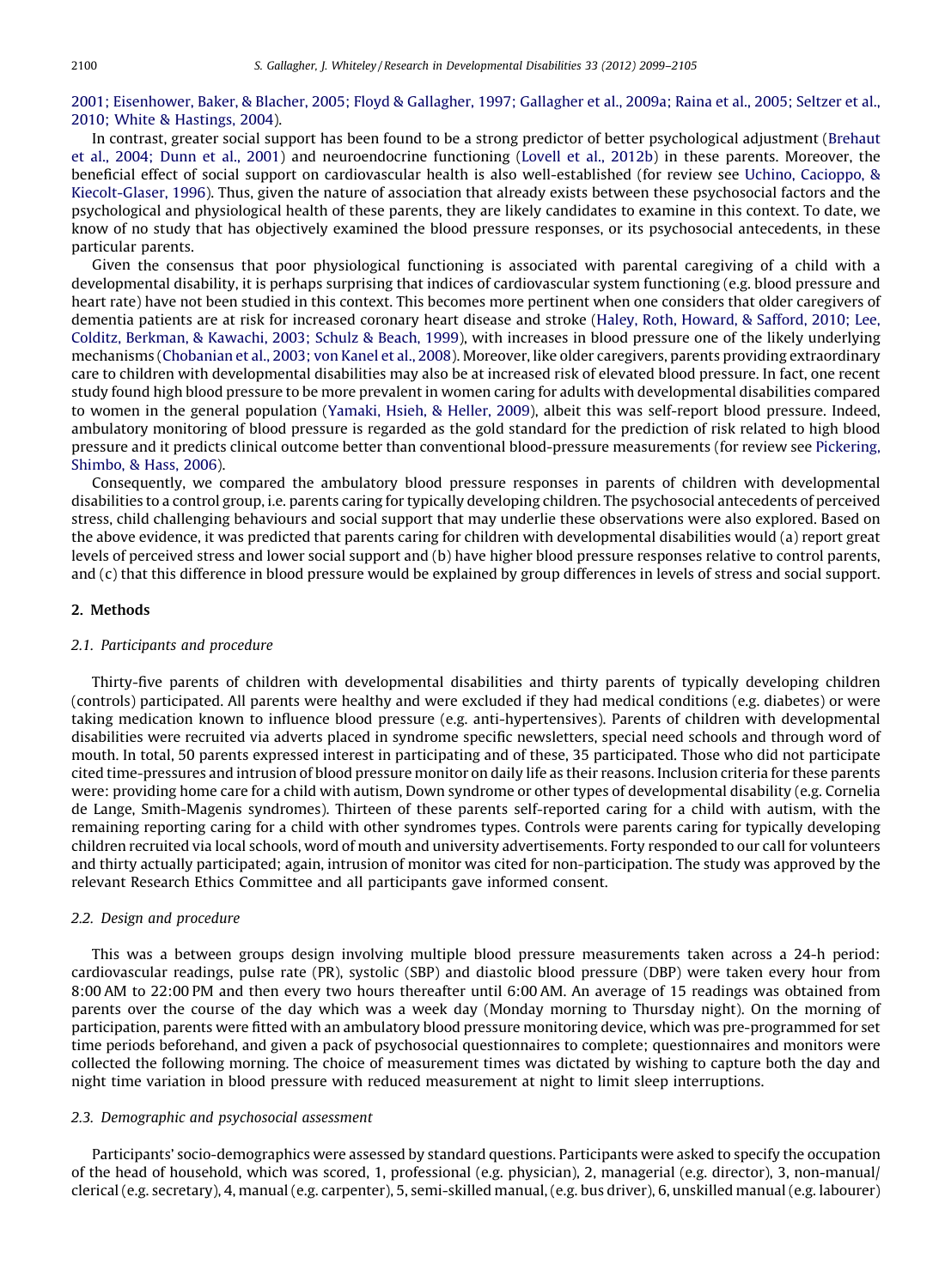2001; [Eisenhower,](#page--1-0) Baker, & Blacher, 2005; Floyd & Gallagher, 1997; Gallagher et al., 2009a; Raina et al., 2005; Seltzer et al., 2010; White & [Hastings,](#page--1-0) 2004).

In contrast, greater social support has been found to be a strong predictor of better psychological adjustment [\(Brehaut](#page--1-0) et al., [2004;](#page--1-0) Dunn et al., 2001) and neuroendocrine functioning (Lovell et al., [2012b](#page--1-0)) in these parents. Moreover, the beneficial effect of social support on cardiovascular health is also well-established (for review see Uchino, [Cacioppo,](#page--1-0) & [Kiecolt-Glaser,](#page--1-0) 1996). Thus, given the nature of association that already exists between these psychosocial factors and the psychological and physiological health of these parents, they are likely candidates to examine in this context. To date, we know of no study that has objectively examined the blood pressure responses, or its psychosocial antecedents, in these particular parents.

Given the consensus that poor physiological functioning is associated with parental caregiving of a child with a developmental disability, it is perhaps surprising that indices of cardiovascular system functioning (e.g. blood pressure and heart rate) have not been studied in this context. This becomes more pertinent when one considers that older caregivers of dementia patients are at risk for increased coronary heart disease and stroke (Haley, Roth, [Howard,](#page--1-0) & Safford, 2010; Lee, Colditz, [Berkman,](#page--1-0) & Kawachi, 2003; Schulz & Beach, 1999), with increases in blood pressure one of the likely underlying mechanisms ([Chobanian](#page--1-0) et al., 2003; von Kanel et al., 2008). Moreover, like older caregivers, parents providing extraordinary care to children with developmental disabilities may also be at increased risk of elevated blood pressure. In fact, one recent study found high blood pressure to be more prevalent in women caring for adults with developmental disabilities compared to women in the general population [\(Yamaki,](#page--1-0) Hsieh, & Heller, 2009), albeit this was self-report blood pressure. Indeed, ambulatory monitoring of blood pressure is regarded as the gold standard for the prediction of risk related to high blood pressure and it predicts clinical outcome better than conventional blood-pressure measurements (for review see [Pickering,](#page--1-0) [Shimbo,](#page--1-0) & Hass, 2006).

Consequently, we compared the ambulatory blood pressure responses in parents of children with developmental disabilities to a control group, i.e. parents caring for typically developing children. The psychosocial antecedents of perceived stress, child challenging behaviours and social support that may underlie these observations were also explored. Based on the above evidence, it was predicted that parents caring for children with developmental disabilities would (a) report great levels of perceived stress and lower social support and (b) have higher blood pressure responses relative to control parents, and (c) that this difference in blood pressure would be explained by group differences in levels of stress and social support.

#### 2. Methods

#### 2.1. Participants and procedure

Thirty-five parents of children with developmental disabilities and thirty parents of typically developing children (controls) participated. All parents were healthy and were excluded if they had medical conditions (e.g. diabetes) or were taking medication known to influence blood pressure (e.g. anti-hypertensives). Parents of children with developmental disabilities were recruited via adverts placed in syndrome specific newsletters, special need schools and through word of mouth. In total, 50 parents expressed interest in participating and of these, 35 participated. Those who did not participate cited time-pressures and intrusion of blood pressure monitor on daily life as their reasons. Inclusion criteria for these parents were: providing home care for a child with autism, Down syndrome or other types of developmental disability (e.g. Cornelia de Lange, Smith-Magenis syndromes). Thirteen of these parents self-reported caring for a child with autism, with the remaining reporting caring for a child with other syndromes types. Controls were parents caring for typically developing children recruited via local schools, word of mouth and university advertisements. Forty responded to our call for volunteers and thirty actually participated; again, intrusion of monitor was cited for non-participation. The study was approved by the relevant Research Ethics Committee and all participants gave informed consent.

### 2.2. Design and procedure

This was a between groups design involving multiple blood pressure measurements taken across a 24-h period: cardiovascular readings, pulse rate (PR), systolic (SBP) and diastolic blood pressure (DBP) were taken every hour from 8:00 AM to 22:00 PM and then every two hours thereafter until 6:00 AM. An average of 15 readings was obtained from parents over the course of the day which was a week day (Monday morning to Thursday night). On the morning of participation, parents were fitted with an ambulatory blood pressure monitoring device, which was pre-programmed for set time periods beforehand, and given a pack of psychosocial questionnaires to complete; questionnaires and monitors were collected the following morning. The choice of measurement times was dictated by wishing to capture both the day and night time variation in blood pressure with reduced measurement at night to limit sleep interruptions.

#### 2.3. Demographic and psychosocial assessment

Participants' socio-demographics were assessed by standard questions. Participants were asked to specify the occupation of the head of household, which was scored, 1, professional (e.g. physician), 2, managerial (e.g. director), 3, non-manual/ clerical(e.g. secretary), 4, manual (e.g. carpenter), 5, semi-skilled manual,(e.g. bus driver), 6, unskilled manual (e.g. labourer)